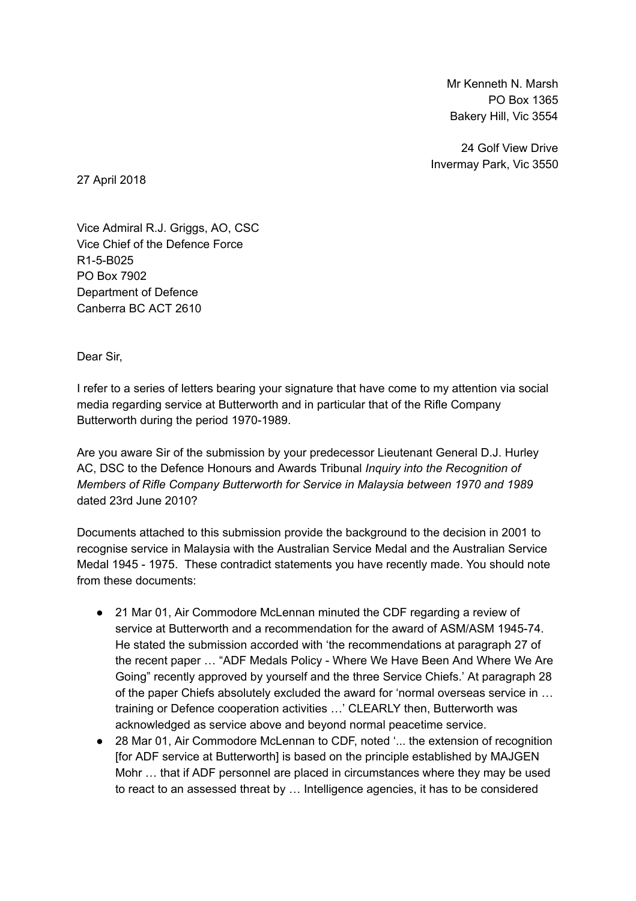Mr Kenneth N. Marsh PO Box 1365 Bakery Hill, Vic 3554

24 Golf View Drive Invermay Park, Vic 3550

27 April 2018

Vice Admiral R.J. Griggs, AO, CSC Vice Chief of the Defence Force R1-5-B025 PO Box 7902 Department of Defence Canberra BC ACT 2610

Dear Sir,

I refer to a series of letters bearing your signature that have come to my attention via social media regarding service at Butterworth and in particular that of the Rifle Company Butterworth during the period 1970-1989.

Are you aware Sir of the submission by your predecessor Lieutenant General D.J. Hurley AC, DSC to the Defence Honours and Awards Tribunal Inquiry into the Recognition of Members of Rifle Company Butterworth for Service in Malaysia between 1970 and 1989 dated 23rd June 2010?

Documents attached to this submission provide the background to the decision in 2001 to recognise service in Malaysia with the Australian Service Medal and the Australian Service Medal 1945 - 1975. These contradict statements you have recently made. You should note from these documents:

- 21 Mar 01, Air Commodore McLennan minuted the CDF regarding a review of service at Butterworth and a recommendation for the award of ASM/ASM 1945-74. He stated the submission accorded with 'the recommendations at paragraph 27 of the recent paper … "ADF Medals Policy - Where We Have Been And Where We Are Going" recently approved by yourself and the three Service Chiefs.' At paragraph 28 of the paper Chiefs absolutely excluded the award for 'normal overseas service in … training or Defence cooperation activities …' CLEARLY then, Butterworth was acknowledged as service above and beyond normal peacetime service.
- 28 Mar 01, Air Commodore McLennan to CDF, noted '... the extension of recognition [for ADF service at Butterworth] is based on the principle established by MAJGEN Mohr … that if ADF personnel are placed in circumstances where they may be used to react to an assessed threat by … Intelligence agencies, it has to be considered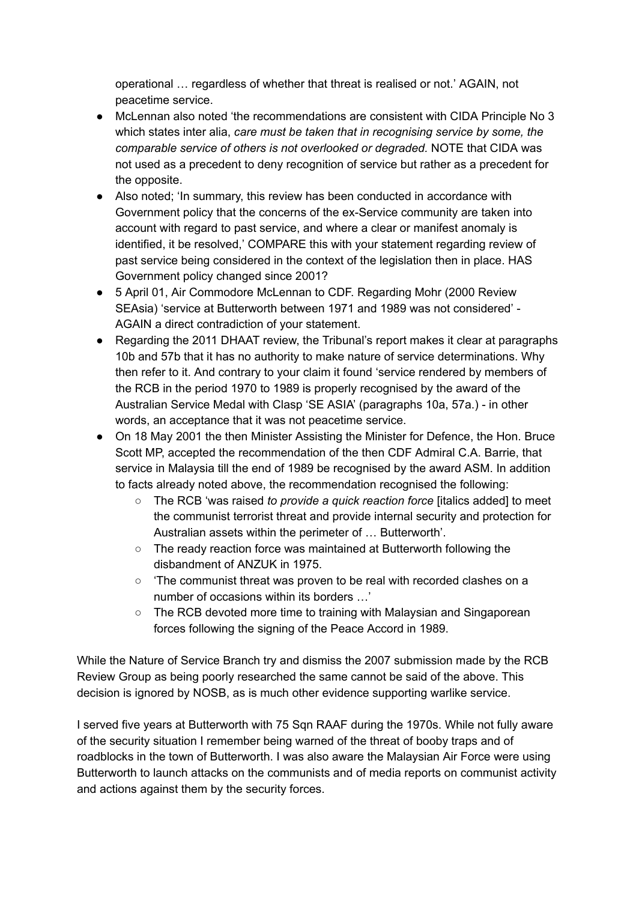operational … regardless of whether that threat is realised or not.' AGAIN, not peacetime service.

- McLennan also noted 'the recommendations are consistent with CIDA Principle No 3 which states inter alia, care must be taken that in recognising service by some, the comparable service of others is not overlooked or degraded. NOTE that CIDA was not used as a precedent to deny recognition of service but rather as a precedent for the opposite.
- Also noted; 'In summary, this review has been conducted in accordance with Government policy that the concerns of the ex-Service community are taken into account with regard to past service, and where a clear or manifest anomaly is identified, it be resolved,' COMPARE this with your statement regarding review of past service being considered in the context of the legislation then in place. HAS Government policy changed since 2001?
- 5 April 01, Air Commodore McLennan to CDF. Regarding Mohr (2000 Review SEAsia) 'service at Butterworth between 1971 and 1989 was not considered' - AGAIN a direct contradiction of your statement.
- Regarding the 2011 DHAAT review, the Tribunal's report makes it clear at paragraphs 10b and 57b that it has no authority to make nature of service determinations. Why then refer to it. And contrary to your claim it found 'service rendered by members of the RCB in the period 1970 to 1989 is properly recognised by the award of the Australian Service Medal with Clasp 'SE ASIA' (paragraphs 10a, 57a.) - in other words, an acceptance that it was not peacetime service.
- On 18 May 2001 the then Minister Assisting the Minister for Defence, the Hon. Bruce Scott MP, accepted the recommendation of the then CDF Admiral C.A. Barrie, that service in Malaysia till the end of 1989 be recognised by the award ASM. In addition to facts already noted above, the recommendation recognised the following:
	- The RCB 'was raised to provide a quick reaction force [italics added] to meet the communist terrorist threat and provide internal security and protection for Australian assets within the perimeter of … Butterworth'.
	- The ready reaction force was maintained at Butterworth following the disbandment of ANZUK in 1975.
	- The communist threat was proven to be real with recorded clashes on a number of occasions within its borders …'
	- The RCB devoted more time to training with Malaysian and Singaporean forces following the signing of the Peace Accord in 1989.

While the Nature of Service Branch try and dismiss the 2007 submission made by the RCB Review Group as being poorly researched the same cannot be said of the above. This decision is ignored by NOSB, as is much other evidence supporting warlike service.

I served five years at Butterworth with 75 Sqn RAAF during the 1970s. While not fully aware of the security situation I remember being warned of the threat of booby traps and of roadblocks in the town of Butterworth. I was also aware the Malaysian Air Force were using Butterworth to launch attacks on the communists and of media reports on communist activity and actions against them by the security forces.